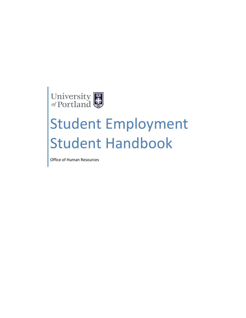

# Student Employment Student Handbook

Office of Human Resources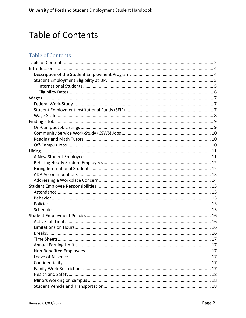# <span id="page-1-0"></span>**Table of Contents**

### **Table of Contents**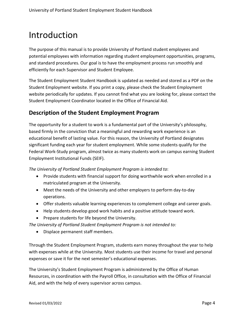# <span id="page-3-0"></span>Introduction

The purpose of this manual is to provide University of Portland student employees and potential employees with information regarding student employment opportunities, programs, and standard procedures. Our goal is to have the employment process run smoothly and efficiently for each Supervisor and Student Employee.

The Student Employment Student Handbook is updated as needed and stored as a PDF on the Student Employment website. If you print a copy, please check the Student Employment website periodically for updates. If you cannot find what you are looking for, please contact the Student Employment Coordinator located in the Office of Financial Aid.

#### <span id="page-3-1"></span>**Description of the Student Employment Program**

The opportunity for a student to work is a fundamental part of the University's philosophy, based firmly in the conviction that a meaningful and rewarding work experience is an educational benefit of lasting value. For this reason, the University of Portland designates significant funding each year for student employment. While some students qualify for the Federal Work-Study program, almost twice as many students work on campus earning Student Employment Institutional Funds (SEIF).

*The University of Portland Student Employment Program is intended to*:

- Provide students with financial support for doing worthwhile work when enrolled in a matriculated program at the University.
- Meet the needs of the University and other employers to perform day-to-day operations.
- Offer students valuable learning experiences to complement college and career goals.
- Help students develop good work habits and a positive attitude toward work.
- Prepare students for life beyond the University.

*The University of Portland Student Employment Program is not intended to:*

• Displace permanent staff members.

Through the Student Employment Program, students earn money throughout the year to help with expenses while at the University. Most students use their income for travel and personal expenses or save it for the next semester's educational expenses.

The University's Student Employment Program is administered by the Office of Human Resources, in coordination with the Payroll Office, in consultation with the Office of Financial Aid, and with the help of every supervisor across campus.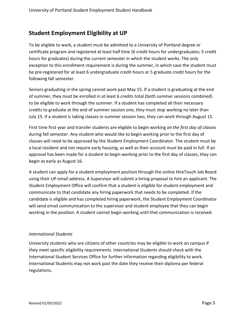#### <span id="page-4-0"></span>**Student Employment Eligibility at UP**

To be eligible to work, a student must be admitted to a University of Portland degree or certificate program and registered at least half time (6 credit hours for undergraduates; 5 credit hours for graduates) during the current semester in which the student works. The only exception to this enrollment requirement is during the summer, in which case the student must be pre-registered for at least 6 undergraduate credit hours or 5 graduate credit hours for the following fall semester.

Seniors graduating in the spring cannot work past May 15. If a student is graduating at the end of summer, they must be enrolled in at least 6 credits total (both summer sessions combined) to be eligible to work through the summer. If a student has completed all their necessary credits to graduate at the end of summer session one, they must stop working no later than July 15. If a student is taking classes in summer session two, they can work through August 15.

First time first year and transfer students are eligible to begin working *on the first day of classes* during fall semester. Any student who would like to begin working prior to the first day of classes will need to be approved by the Student Employment Coordinator. The student must be a local resident and not require early housing, as well as their account must be paid in full. If an approval has been made for a student to begin working prior to the first day of classes, they can begin as early as August 16.

A student can apply for a student employment position through the online HireTouch Job Board using their UP email address. A Supervisor will submit a hiring proposal to hire an applicant. The Student Employment Office will confirm that a student is eligible for student employment and communicate to that candidate any hiring paperwork that needs to be completed. If the candidate is eligible and has completed hiring paperwork, the Student Employment Coordinator will send email communication to the supervisor and student employee that they can begin working in the position. A student cannot begin working until that communication is received.

#### <span id="page-4-1"></span>*International Students*

University students who are citizens of other countries may be eligible to work on campus if they meet specific eligibility requirements. International Students should check with the International Student Services Office for further information regarding eligibility to work. International Students may not work past the date they receive their diploma per federal regulations.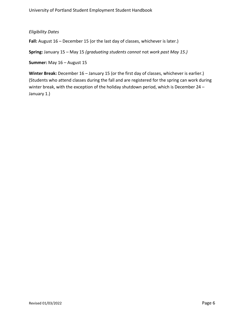#### <span id="page-5-0"></span>*Eligibility Dates*

**Fall:** August 16 – December 15 (or the last day of classes, whichever is later.)

**Spring:** January 15 – May 15 *(graduating students cannot* not *work past May 15.)*

**Summer:** May 16 – August 15

Winter Break: December 16 – January 15 (or the first day of classes, whichever is earlier.) (Students who attend classes during the fall and are registered for the spring can work during winter break, with the exception of the holiday shutdown period, which is December 24 -January 1.)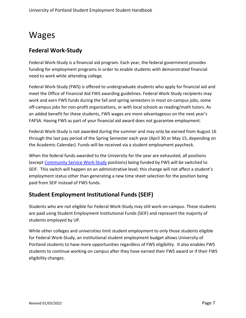# <span id="page-6-0"></span>Wages

#### <span id="page-6-1"></span>**Federal Work-Study**

Federal Work-Study is a financial aid program. Each year, the federal government provides funding for employment programs in order to enable students with demonstrated financial need to work while attending college.

Federal Work-Study (FWS) is offered to undergraduate students who apply for financial aid and meet the Office of Financial Aid FWS awarding guidelines. Federal Work-Study recipients may work and earn FWS funds during the fall and spring semesters in most on-campus jobs, some off-campus jobs for non-profit organizations, or with local schools as reading/math tutors. As an added benefit for these students, FWS wages are more advantageous on the next year's FAFSA. Having FWS as part of your financial aid award does not guarantee employment.

Federal Work-Study is not awarded during the summer and may only be earned from August 16 through the last pay period of the Spring Semester each year (April 30 or May 15, depending on the Academic Calendar). Funds will be received via a student employment paycheck.

When the federal funds awarded to the University for the year are exhausted, all positions (except [Community Service Work-Study](#page-9-0) positions) being funded by FWS will be switched to SEIF. This switch will happen on an administrative level; this change will not affect a student's employment status other than generating a new time sheet selection for the position being paid from SEIF instead of FWS funds.

### <span id="page-6-2"></span>**Student Employment Institutional Funds (SEIF)**

Students who are not eligible for Federal Work-Study may still work on-campus. These students are paid using Student Employment Institutional Funds (SEIF) and represent the majority of students employed by UP.

While other colleges and universities limit student employment to only those students eligible for Federal Work-Study, an institutional student employment budget allows University of Portland students to have more opportunities regardless of FWS eligibility. It also enables FWS students to continue working on campus after they have earned their FWS award or if their FWS eligibility changes.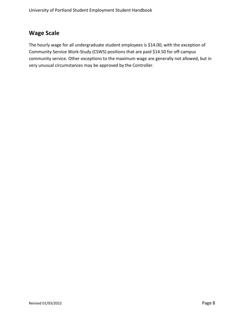### <span id="page-7-0"></span>**Wage Scale**

The hourly wage for all undergraduate student employees is \$14.00, with the exception of Community Service Work-Study (CSWS) positions that are paid \$14.50 for off-campus community service. Other exceptions to the maximum wage are generally not allowed, but in very unusual circumstances may be approved by the Controller.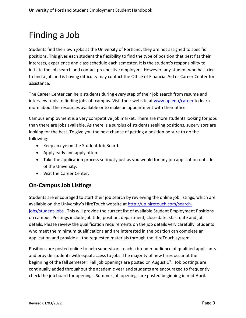# <span id="page-8-0"></span>Finding a Job

Students find their own jobs at the University of Portland; they are not assigned to specific positions. This gives each student the flexibility to find the type of position that best fits their interests, experience and class schedule each semester. It is the student's responsibility to initiate the job search and contact prospective employers. However, any student who has tried to find a job and is having difficulty may contact the Office of Financial Aid or Career Center for assistance.

The Career Center can help students during every step of their job search from resume and interview tools to finding jobs off campus. Visit their website at [www.up.edu/career](http://www.up.edu/career) to learn more about the resources available or to make an appointment with their office.

Campus employment is a very competitive job market. There are more students looking for jobs than there are jobs available. As there is a surplus of students seeking positions, supervisors are looking for the best. To give you the best chance of getting a position be sure to do the following:

- Keep an eye on the Student Job Board.
- Apply early and apply often.
- Take the application process seriously just as you would for any job application outside of the University.
- Visit the Career Center.

### <span id="page-8-1"></span>**On-Campus Job Listings**

Students are encouraged to start their job search by reviewing the online job listings, which are available on the University's HireTouch website at [http://up.hiretouch.com/search](http://up.hiretouch.com/search-jobs/student-jobs)[jobs/student-jobs](http://up.hiretouch.com/search-jobs/student-jobs) . This will provide the current list of available Student Employment Positions on campus. Postings include job title, position, department, close date, start date and job details. Please review the qualification requirements on the job details very carefully. Students who meet the minimum qualifications and are interested in the position can complete an application and provide all the requested materials through the HireTouch system.

Positions are posted online to help supervisors reach a broader audience of qualified applicants and provide students with equal access to jobs. The majority of new hires occur at the beginning of the fall semester. Fall job openings are posted on August  $1<sup>st</sup>$ . Job postings are continually added throughout the academic year and students are encouraged to frequently check the job board for openings. Summer job openings are posted beginning in mid-April.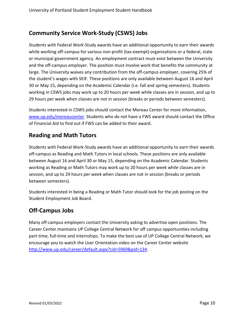### <span id="page-9-0"></span>**Community Service Work-Study (CSWS) Jobs**

Students with Federal Work-Study awards have an additional opportunity to earn their awards while working off-campus for various non-profit (tax-exempt) organizations or a federal, state or municipal government agency. An employment contract must exist between the University and the off-campus employer. The position must involve work that benefits the community at large. The University waives any contribution from the off-campus employer, covering 25% of the student's wages with SEIF. These positions are only available between August 16 and April 30 or May 15, depending on the Academic Calendar (i.e. fall and spring semesters). Students working in CSWS jobs may work up to 20 hours per week while classes are in session, and up to 29 hours per week when classes are not in session (breaks or periods between semesters).

Students interested in CSWS jobs should contact the Moreau Center for more information, [www.up.edu/moreaucenter.](http://www.up.edu/moreaucenter) Students who do not have a FWS award should contact the Office of Financial Aid to find out if FWS can be added to their award.

#### <span id="page-9-1"></span>**Reading and Math Tutors**

Students with Federal Work-Study awards have an additional opportunity to earn their awards off-campus as Reading and Math Tutors in local schools. These positions are only available between August 16 and April 30 or May 15, depending on the Academic Calendar. Students working as Reading or Math Tutors may work up to 20 hours per week while classes are in session, and up to 29 hours per week when classes are not in session (breaks or periods between semesters).

Students interested in being a Reading or Math Tutor should look for the job posting on the Student Employment Job Board.

### <span id="page-9-2"></span>**Off-Campus Jobs**

Many off-campus employers contact the University asking to advertise open positions. The Career Center maintains UP College Central Network for off campus opportunities including part-time, full-time and internships. To make the best use of UP College Central Network, we encourage you to watch the User Orientation video on the Career Center website [http://www.up.edu/career/default.aspx?cid=5969&pid=134.](http://www.up.edu/career/default.aspx?cid=5969&pid=134)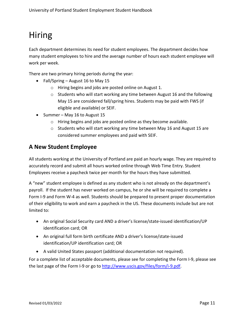# <span id="page-10-0"></span>Hiring

Each department determines its need for student employees. The department decides how many student employees to hire and the average number of hours each student employee will work per week.

There are two primary hiring periods during the year:

- Fall/Spring August 16 to May 15
	- o Hiring begins and jobs are posted online on August 1.
	- $\circ$  Students who will start working any time between August 16 and the following May 15 are considered fall/spring hires. Students may be paid with FWS (if eligible and available) or SEIF.
- Summer May 16 to August 15
	- o Hiring begins and jobs are posted online as they become available.
	- $\circ$  Students who will start working any time between May 16 and August 15 are considered summer employees and paid with SEIF.

#### <span id="page-10-1"></span>**A New Student Employee**

All students working at the University of Portland are paid an hourly wage. They are required to accurately record and submit all hours worked online through Web Time Entry. Student Employees receive a paycheck twice per month for the hours they have submitted.

A "new" student employee is defined as any student who is not already on the department's payroll. If the student has never worked on campus, he or she will be required to complete a Form I-9 and Form W-4 as well. Students should be prepared to present proper documentation of their eligibility to work and earn a paycheck in the US. These documents include but are not limited to:

- An original Social Security card AND a driver's license/state-issued identification/UP identification card; OR
- An original full form birth certificate AND a driver's license/state-issued identification/UP identification card; OR
- A valid United States passport (additional documentation not required).

For a complete list of acceptable documents, please see for completing the Form I-9, please see the last page of the Form I-9 or go to [http://www.uscis.gov/files/form/i-9.pdf.](http://www.uscis.gov/files/form/i-9.pdf)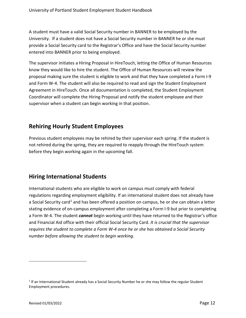A student must have a valid Social Security number in BANNER to be employed by the University. If a student does not have a Social Security number in BANNER he or she must provide a Social Security card to the Registrar's Office and have the Social Security number entered into BANNER prior to being employed.

The supervisor initiates a Hiring Proposal in HireTouch, letting the Office of Human Resources know they would like to hire the student. The Office of Human Resources will review the proposal making sure the student is eligible to work and that they have completed a Form I-9 and Form W-4. The student will also be required to read and sign the Student Employment Agreement in HireTouch. Once all documentation is completed, the Student Employment Coordinator will complete the Hiring Proposal and notify the student employee and their supervisor when a student can begin working in that position.

### <span id="page-11-0"></span>**Rehiring Hourly Student Employees**

Previous student employees may be rehired by their supervisor each spring. If the student is not rehired during the spring, they are required to reapply through the HireTouch system before they begin working again in the upcoming fall.

### <span id="page-11-1"></span>**Hiring International Students**

International students who are eligible to work on campus must comply with federal regulations regarding employment eligibility. If an international student does not already have a Social Security card<sup>[1](#page-11-2)</sup> and has been offered a position on campus, he or she can obtain a letter stating evidence of on-campus employment after completing a Form I-9 but prior to completing a Form W-4. The student *cannot* begin working until they have returned to the Registrar's office and Financial Aid office with their official Social Security Card. *It is crucial that the supervisor requires the student to complete a Form W-4 once he or she has obtained a Social Security number before allowing the student to begin working.*

<span id="page-11-2"></span> $1$  If an International Student already has a Social Security Number he or she may follow the regular Student Employment procedures.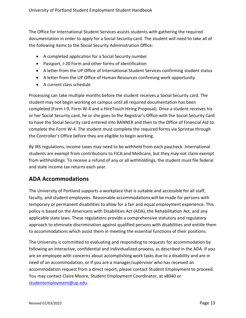The Office for International Student Services assists students with gathering the required documentation in order to apply for a Social Security card. The student will need to take all of the following items to the Social Security Administration Office:

- A completed application for a Social Security number
- Passport, I-20 Form and other forms of identification
- A letter from the UP Office of International Student Services confirming student status
- A letter from the UP Office of Human Resources confirming work opportunity
- A current class schedule

Processing can take multiple months before the student receives a Social Security card. The student may not begin working on campus until all required documentation has been completed (Form I-9, Form W-4 and a HireTouch Hiring Proposal). Once a student receives his or her Social Security card, he or she goes to the Registrar's Office with the Social Security Card to have the Social Security card entered into BANNER and then to the Office of Financial Aid to complete the Form W-4. The student must complete the required forms via Sprintax through the Controller's Office before they are eligible to begin working.

By IRS regulations, income taxes may need to be withheld from each paycheck. International students are exempt from contributions to FICA and Medicare, but they may not claim exempt from withholdings. To receive a refund of any or all withholdings, the student must file federal and state income tax returns each year.

### <span id="page-12-0"></span>**ADA Accommodations**

The University of Portland supports a workplace that is suitable and accessible for all staff, faculty, and student employees. Reasonable accommodations will be made for persons with temporary or permanent disabilities to allow for a fair and equal employment experience. This policy is based on the Americans with Disabilities Act (ADA), the Rehabilitation Act, and any applicable state laws. These regulations provide a comprehensive statutory and regulatory approach to eliminate discrimination against qualified persons with disabilities and entitle them to accommodations which assist them in meeting the essential functions of their positions.

The University is committed to evaluating and responding to requests for accommodation by following an interactive, confidential and individualized process, as described in the ADA. If you are an employee with concerns about accomplishing work tasks due to a disability and are in need of an accommodation, or if you are a manager/supervisor who has received an accommodation request from a direct report, please contact Student Employment to proceed. You may contact Claire Moore, Student Employment Coordinator, at x8040 or [studentemployment@up.edu.](mailto:studentemployment@up.edu)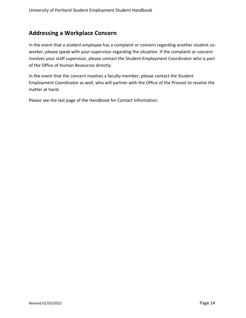#### <span id="page-13-0"></span>**Addressing a Workplace Concern**

In the event that a student employee has a complaint or concern regarding another student coworker, please speak with your supervisor regarding the situation. If the complaint or concern involves your staff supervisor, please contact the Student Employment Coordinator who is part of the Office of Human Resources directly.

In the event that the concern involves a faculty member, please contact the Student Employment Coordinator as well, who will partner with the Office of the Provost to resolve the matter at hand.

Please see the last page of the Handbook for Contact Information.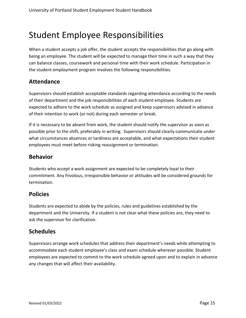# <span id="page-14-0"></span>Student Employee Responsibilities

When a student accepts a job offer, the student accepts the responsibilities that go along with being an employee. The student will be expected to manage their time in such a way that they can balance classes, coursework and personal time with their work schedule. Participation in the student employment program involves the following responsibilities.

#### <span id="page-14-1"></span>**Attendance**

Supervisors should establish acceptable standards regarding attendance according to the needs of their department and the job responsibilities of each student employee. Students are expected to adhere to the work schedule as assigned and keep supervisors advised in advance of their intention to work (or not) during each semester or break.

If it is necessary to be absent from work, the student should notify the supervisor as soon as possible prior to the shift, preferably in writing. Supervisors should clearly communicate under what circumstances absences or tardiness are acceptable, and what expectations their student employees must meet before risking reassignment or termination.

#### <span id="page-14-2"></span>**Behavior**

Students who accept a work assignment are expected to be completely loyal to their commitment. Any frivolous, irresponsible behavior or attitudes will be considered grounds for termination.

#### <span id="page-14-3"></span>**Policies**

Students are expected to abide by the policies, rules and guidelines established by the department and the University. If a student is not clear what these policies are, they need to ask the supervisor for clarification.

#### <span id="page-14-4"></span>**Schedules**

Supervisors arrange work schedules that address their department's needs while attempting to accommodate each student employee's class and exam schedule wherever possible. Student employees are expected to commit to the work schedule agreed upon and to explain in advance any changes that will affect their availability.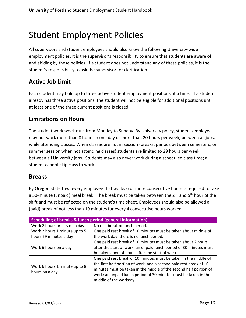# <span id="page-15-0"></span>Student Employment Policies

All supervisors and student employees should also know the following University-wide employment policies. It is the supervisor's responsibility to ensure that students are aware of and abiding by these policies. If a student does not understand any of these policies, it is the student's responsibility to ask the supervisor for clarification.

#### <span id="page-15-1"></span>**Active Job Limit**

Each student may hold up to three active student employment positions at a time. If a student already has three active positions, the student will not be eligible for additional positions until at least one of the three current positions is closed.

#### <span id="page-15-2"></span>**Limitations on Hours**

The student work week runs from Monday to Sunday. By University policy, student employees may not work more than 8 hours in one day or more than 20 hours per week, between all jobs, while attending classes. When classes are not in session (breaks, periods between semesters, or summer session when not attending classes) students are limited to 29 hours per week between all University jobs. Students may also never work during a scheduled class time; a student cannot skip class to work.

#### <span id="page-15-3"></span>**Breaks**

By Oregon State Law, every employee that works 6 or more consecutive hours is required to take a 30-minute (unpaid) meal break. The break must be taken between the 2<sup>nd</sup> and 5<sup>th</sup> hour of the shift and must be reflected on the student's time sheet. Employees should also be allowed a (paid) break of not less than 10 minutes for every 4 consecutive hours worked.

| <b>Scheduling of breaks &amp; lunch period (general information)</b> |                                                                    |  |
|----------------------------------------------------------------------|--------------------------------------------------------------------|--|
| Work 2 hours or less on a day                                        | No rest break or lunch period.                                     |  |
| Work 2 hours 1 minute up to 5                                        | One paid rest break of 10 minutes must be taken about middle of    |  |
| hours 59 minutes a day                                               | the work day; there is no lunch period.                            |  |
| Work 6 hours on a day                                                | One paid rest break of 10 minutes must be taken about 2 hours      |  |
|                                                                      | after the start of work; an unpaid lunch period of 30 minutes must |  |
|                                                                      | be taken about 4 hours after the start of work.                    |  |
| Work 6 hours 1 minute up to 8<br>hours on a day                      | One paid rest break of 10 minutes must be taken in the middle of   |  |
|                                                                      | the first half portion of work, and a second paid rest break of 10 |  |
|                                                                      | minutes must be taken in the middle of the second half portion of  |  |
|                                                                      | work; an unpaid lunch period of 30 minutes must be taken in the    |  |
|                                                                      | middle of the workday.                                             |  |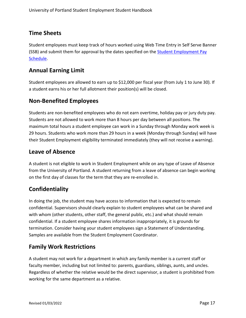#### <span id="page-16-0"></span>**Time Sheets**

Student employees must keep track of hours worked using Web Time Entry in Self Serve Banner (SSB) and submit them for approval by the dates specified on the [Student Employment Pay](https://www.up.edu/payroll/student-pay-schedule.html) [Schedule.](https://www.up.edu/payroll/student-pay-schedule.html)

### <span id="page-16-1"></span>**Annual Earning Limit**

Student employees are allowed to earn up to \$12,000 per fiscal year (from July 1 to June 30). If a student earns his or her full allotment their position(s) will be closed.

#### <span id="page-16-2"></span>**Non-Benefited Employees**

Students are non-benefited employees who do not earn overtime, holiday pay or jury duty pay. Students are not allowed to work more than 8 hours per day between all positions. The maximum total hours a student employee can work in a Sunday through Monday work week is 29 hours. Students who work more than 29 hours in a week (Monday through Sunday) will have their Student Employment eligibility terminated immediately (they will not receive a warning).

#### <span id="page-16-3"></span>**Leave of Absence**

A student is not eligible to work in Student Employment while on any type of Leave of Absence from the University of Portland. A student returning from a leave of absence can begin working on the first day of classes for the term that they are re-enrolled in.

### <span id="page-16-4"></span>**Confidentiality**

In doing the job, the student may have access to information that is expected to remain confidential. Supervisors should clearly explain to student employees what can be shared and with whom (other students, other staff, the general public, etc.) and what should remain confidential. If a student employee shares information inappropriately, it is grounds for termination. Consider having your student employees sign a Statement of Understanding. Samples are available from the Student Employment Coordinator.

### <span id="page-16-5"></span>**Family Work Restrictions**

A student may not work for a department in which any family member is a current staff or faculty member, including but not limited to: parents, guardians, siblings, aunts, and uncles. Regardless of whether the relative would be the direct supervisor, a student is prohibited from working for the same department as a relative.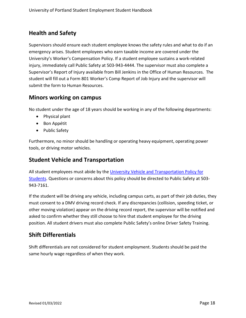### <span id="page-17-0"></span>**Health and Safety**

Supervisors should ensure each student employee knows the safety rules and what to do if an emergency arises. Student employees who earn taxable income are covered under the University's Worker's Compensation Policy. If a student employee sustains a work-related injury, immediately call Public Safety at 503-943-4444. The supervisor must also complete a Supervisor's Report of Injury available from Bill Jenkins in the Office of Human Resources. The student will fill out a Form 801 Worker's Comp Report of Job Injury and the supervisor will submit the form to Human Resources.

#### <span id="page-17-1"></span>**Minors working on campus**

No student under the age of 18 years should be working in any of the following departments:

- Physical plant
- Bon Appétit
- Public Safety

Furthermore, no minor should be handling or operating heavy equipment, operating power tools, or driving motor vehicles.

#### <span id="page-17-2"></span>**Student Vehicle and Transportation**

All student employees must abide by the University Vehicle and Transportation Policy for [Students.](https://www.up.edu/studentemployment/files/up-vehicle-policy.pdf) Questions or concerns about this policy should be directed to Public Safety at 503-943-7161.

If the student will be driving any vehicle, including campus carts, as part of their job duties, they must consent to a DMV driving record check. If any discrepancies (collision, speeding ticket, or other moving violation) appear on the driving record report, the supervisor will be notified and asked to confirm whether they still choose to hire that student employee for the driving position. All student drivers must also complete Public Safety's online Driver Safety Training.

### <span id="page-17-3"></span>**Shift Differentials**

Shift differentials are not considered for student employment. Students should be paid the same hourly wage regardless of when they work.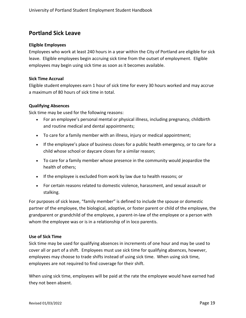#### <span id="page-18-0"></span>**Portland Sick Leave**

#### **Eligible Employees**

Employees who work at least 240 hours in a year within the City of Portland are eligible for sick leave. Eligible employees begin accruing sick time from the outset of employment. Eligible employees may begin using sick time as soon as it becomes available.

#### **Sick Time Accrual**

Eligible student employees earn 1 hour of sick time for every 30 hours worked and may accrue a maximum of 80 hours of sick time in total.

#### **Qualifying Absences**

Sick time may be used for the following reasons:

- For an employee's personal mental or physical illness, including pregnancy, childbirth and routine medical and dental appointments;
- To care for a family member with an illness, injury or medical appointment;
- If the employee's place of business closes for a public health emergency, or to care for a child whose school or daycare closes for a similar reason;
- To care for a family member whose presence in the community would jeopardize the health of others;
- If the employee is excluded from work by law due to health reasons; or
- For certain reasons related to domestic violence, harassment, and sexual assault or stalking.

For purposes of sick leave, "family member" is defined to include the spouse or domestic partner of the employee, the biological, adoptive, or foster parent or child of the employee, the grandparent or grandchild of the employee, a parent-in-law of the employee or a person with whom the employee was or is in a relationship of in loco parentis.

#### **Use of Sick Time**

Sick time may be used for qualifying absences in increments of one hour and may be used to cover all or part of a shift. Employees must use sick time for qualifying absences, however, employees may choose to trade shifts instead of using sick time. When using sick time, employees are not required to find coverage for their shift.

When using sick time, employees will be paid at the rate the employee would have earned had they not been absent.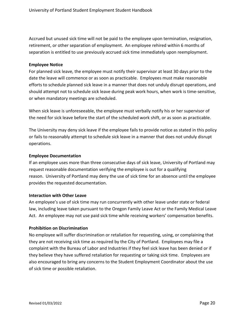Accrued but unused sick time will not be paid to the employee upon termination, resignation, retirement, or other separation of employment. An employee rehired within 6 months of separation is entitled to use previously accrued sick time immediately upon reemployment.

#### **Employee Notice**

For planned sick leave, the employee must notify their supervisor at least 30 days prior to the date the leave will commence or as soon as practicable. Employees must make reasonable efforts to schedule planned sick leave in a manner that does not unduly disrupt operations, and should attempt not to schedule sick leave during peak work hours, when work is time-sensitive, or when mandatory meetings are scheduled.

When sick leave is unforeseeable, the employee must verbally notify his or her supervisor of the need for sick leave before the start of the scheduled work shift, or as soon as practicable.

The University may deny sick leave if the employee fails to provide notice as stated in this policy or fails to reasonably attempt to schedule sick leave in a manner that does not unduly disrupt operations.

#### **Employee Documentation**

If an employee uses more than three consecutive days of sick leave, University of Portland may request reasonable documentation verifying the employee is out for a qualifying reason. University of Portland may deny the use of sick time for an absence until the employee provides the requested documentation.

#### **Interaction with Other Leave**

An employee's use of sick time may run concurrently with other leave under state or federal law, including leave taken pursuant to the Oregon Family Leave Act or the Family Medical Leave Act. An employee may not use paid sick time while receiving workers' compensation benefits.

#### **Prohibition on Discrimination**

No employee will suffer discrimination or retaliation for requesting, using, or complaining that they are not receiving sick time as required by the City of Portland. Employees may file a complaint with the Bureau of Labor and Industries if they feel sick leave has been denied or if they believe they have suffered retaliation for requesting or taking sick time. Employees are also encouraged to bring any concerns to the Student Employment Coordinator about the use of sick time or possible retaliation.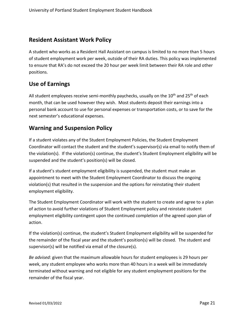#### <span id="page-20-0"></span>**Resident Assistant Work Policy**

A student who works as a Resident Hall Assistant on campus is limited to no more than 5 hours of student employment work per week, outside of their RA duties. This policy was implemented to ensure that RA's do not exceed the 20 hour per week limit between their RA role and other positions.

#### <span id="page-20-1"></span>**Use of Earnings**

All student employees receive semi-monthly paychecks, usually on the  $10<sup>th</sup>$  and  $25<sup>th</sup>$  of each month, that can be used however they wish. Most students deposit their earnings into a personal bank account to use for personal expenses or transportation costs, or to save for the next semester's educational expenses.

#### <span id="page-20-2"></span>**Warning and Suspension Policy**

If a student violates any of the Student Employment Policies, the Student Employment Coordinator will contact the student and the student's supervisor(s) via email to notify them of the violation(s). If the violation(s) continue, the student's Student Employment eligibility will be suspended and the student's position(s) will be closed.

If a student's student employment eligibility is suspended, the student must make an appointment to meet with the Student Employment Coordinator to discuss the ongoing violation(s) that resulted in the suspension and the options for reinstating their student employment eligibility.

The Student Employment Coordinator will work with the student to create and agree to a plan of action to avoid further violations of Student Employment policy and reinstate student employment eligibility contingent upon the continued completion of the agreed upon plan of action.

If the violation(s) continue, the student's Student Employment eligibility will be suspended for the remainder of the fiscal year and the student's position(s) will be closed. The student and supervisor(s) will be notified via email of the closure(s).

*Be advised:* given that the maximum allowable hours for student employees is 29 hours per week, any student employee who works more than 40 hours in a week will be immediately terminated without warning and not eligible for any student employment positions for the remainder of the fiscal year.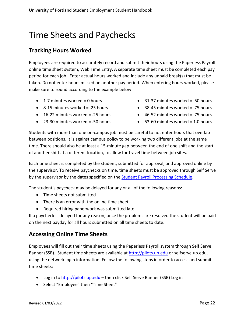# <span id="page-21-0"></span>Time Sheets and Paychecks

#### <span id="page-21-1"></span>**Tracking Hours Worked**

Employees are required to accurately record and submit their hours using the Paperless Payroll online time sheet system, Web Time Entry. A separate time sheet must be completed each pay period for each job. Enter actual hours worked and include any unpaid break(s) that must be taken. Do not enter hours missed on another pay period. When entering hours worked, please make sure to round according to the example below:

- $\bullet$  1-7 minutes worked = 0 hours
- 8-15 minutes worked = .25 hours
- 16-22 minutes worked = .25 hours
- $\bullet$  23-30 minutes worked = .50 hours
- $\bullet$  31-37 minutes worked = .50 hours
- 38-45 minutes worked = .75 hours
- $\bullet$  46-52 minutes worked = .75 hours
- $\bullet$  53-60 minutes worked = 1.0 hours

Students with more than one on-campus job must be careful to not enter hours that overlap between positions. It is against campus policy to be working two different jobs at the same time. There should also be at least a 15-minute gap between the end of one shift and the start of another shift at a different location, to allow for travel time between job sites.

Each time sheet is completed by the student, submitted for approval, and approved online by the supervisor. To receive paychecks on time, time sheets must be approved through Self Serve by the supervisor by the dates specified on the [Student Payroll Processing Schedule.](http://www.up.edu/controller/default.aspx?cid=9591&pid=4606)

The student's paycheck may be delayed for any or all of the following reasons:

- Time sheets not submitted
- There is an error with the online time sheet
- Required hiring paperwork was submitted late

If a paycheck is delayed for any reason, once the problems are resolved the student will be paid on the next payday for all hours submitted on all time sheets to date.

### <span id="page-21-2"></span>**Accessing Online Time Sheets**

Employees will fill out their time sheets using the Paperless Payroll system through Self Serve Banner (SSB). Student time sheets are available at [http://pilots.up.edu](http://pilots.up.edu/) or selfserve.up.edu, using the network login information. Follow the following steps in order to access and submit time sheets:

- Log in to [http://pilots.up.edu](http://pilots.up.edu/) then click Self Serve Banner (SSB) Log in
- Select "Employee" then "Time Sheet"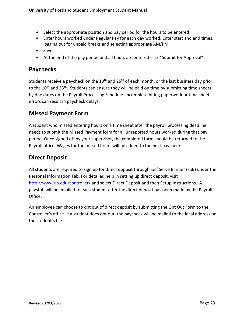- Select the appropriate position and pay period for the hours to be entered
- Enter hours worked under Regular Pay for each day worked. Enter start and end times, logging out for unpaid breaks and selecting appropriate AM/PM
- Save
- At the end of the pay period and all hours are entered click "Submit for Approval"

#### <span id="page-22-0"></span>**Paychecks**

Students receive a paycheck on the  $10<sup>th</sup>$  and 25<sup>th</sup> of each month, or the last business day prior to the 10<sup>th</sup> and 25<sup>th</sup>. Students can ensure they will be paid on time by submitting time sheets by due dates on the Payroll Processing Schedule. Incomplete hiring paperwork or time sheet errors can result in paycheck delays.

#### <span id="page-22-1"></span>**Missed Payment Form**

A student who missed entering hours on a time sheet after the payroll processing deadline needs to submit the Missed Payment form for all unreported hours worked during that pay period. Once signed off by your supervisor, the completed form should be returned to the Payroll office. Wages for the missed hours will be added to the next paycheck.

### <span id="page-22-2"></span>**Direct Deposit**

All students are required to sign up for direct deposit through Self Serve Banner (SSB) under the Personal Information Tab. For detailed help in setting up direct deposit, visit <http://www.up.edu/controller/> and select Direct Deposit and then Setup Instructions. A paystub will be emailed to each student after the direct deposit has been made by the Payroll Office.

An employee can choose to opt out of direct deposit by submitting the Opt Out Form to the Controller's office. If a student does opt out, the paycheck will be mailed to the local address on the student's file.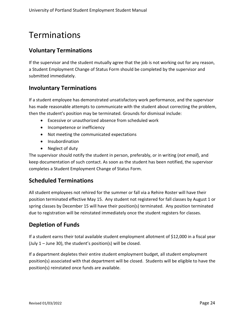# <span id="page-23-0"></span>Terminations

### <span id="page-23-1"></span>**Voluntary Terminations**

If the supervisor and the student mutually agree that the job is not working out for any reason, a Student Employment Change of Status Form should be completed by the supervisor and submitted immediately.

#### <span id="page-23-2"></span>**Involuntary Terminations**

If a student employee has demonstrated unsatisfactory work performance, and the supervisor has made reasonable attempts to communicate with the student about correcting the problem, then the student's position may be terminated. Grounds for dismissal include:

- Excessive or unauthorized absence from scheduled work
- Incompetence or inefficiency
- Not meeting the communicated expectations
- Insubordination
- Neglect of duty

The supervisor should notify the student in person, preferably, or in writing (*not email*), and keep documentation of such contact. As soon as the student has been notified, the supervisor completes a Student Employment Change of Status Form.

### <span id="page-23-3"></span>**Scheduled Terminations**

All student employees not rehired for the summer or fall via a Rehire Roster will have their position terminated effective May 15. Any student not registered for fall classes by August 1 or spring classes by December 15 will have their position(s) terminated. Any position terminated due to registration will be reinstated immediately once the student registers for classes.

### <span id="page-23-4"></span>**Depletion of Funds**

If a student earns their total available student employment allotment of \$12,000 in a fiscal year (July  $1 -$  June 30), the student's position(s) will be closed.

If a department depletes their entire student employment budget, all student employment position(s) associated with that department will be closed. Students will be eligible to have the position(s) reinstated once funds are available.